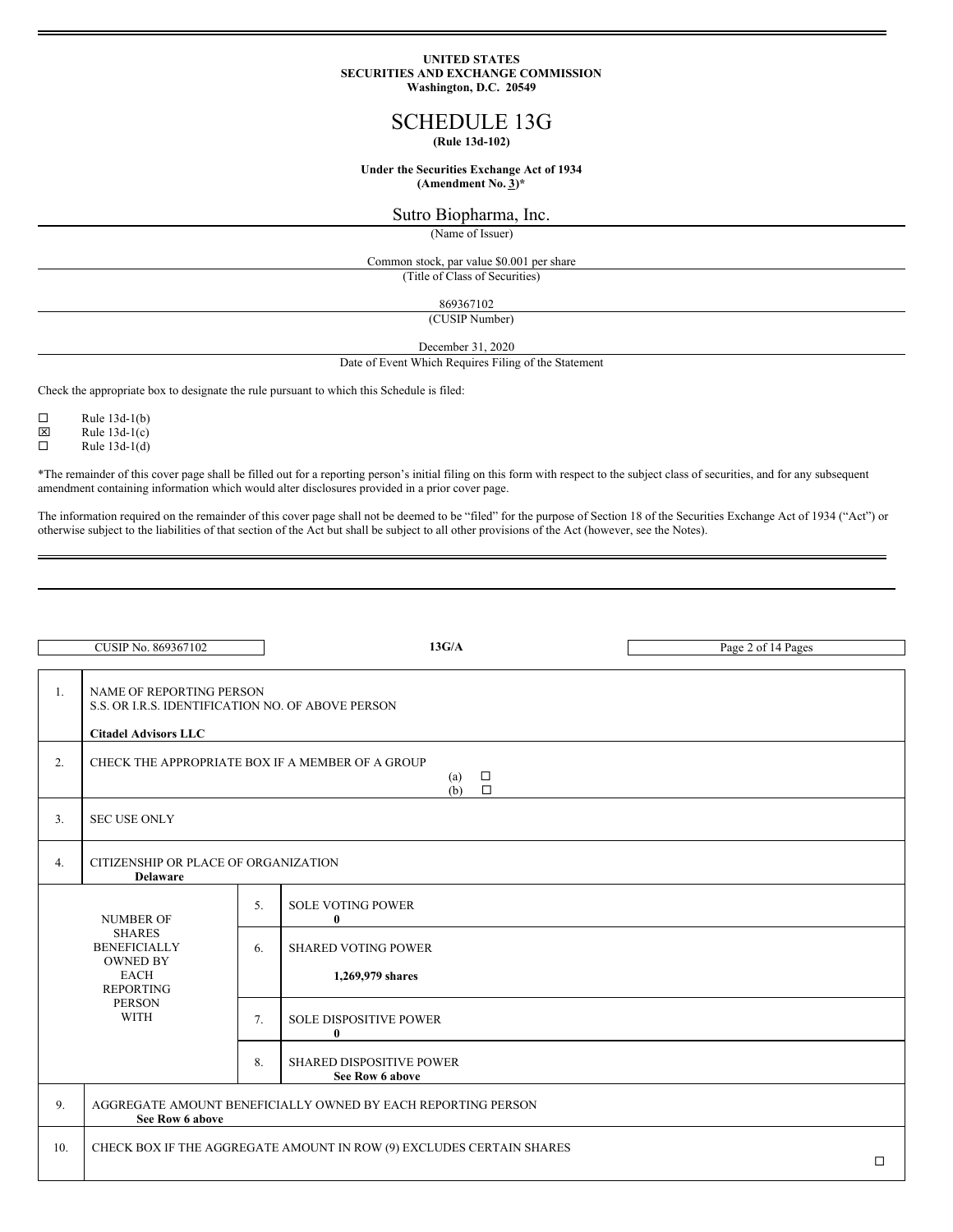### **UNITED STATES SECURITIES AND EXCHANGE COMMISSION Washington, D.C. 20549**

# SCHEDULE 13G **(Rule 13d-102)**

# **Under the Securities Exchange Act of 1934**

**(Amendment No. 3)\***

## Sutro Biopharma, Inc.

(Name of Issuer)

Common stock, par value \$0.001 per share (Title of Class of Securities)

869367102

(CUSIP Number)

December 31, 2020

Date of Event Which Requires Filing of the Statement

Check the appropriate box to designate the rule pursuant to which this Schedule is filed:

 $\square$  Rule 13d-1(b)<br>  $\square$  Rule 13d-1(c)

 $\boxtimes$  Rule 13d-1(c)<br>
Rule 13d-1(d)

Rule  $13d-1(d)$ 

\*The remainder of this cover page shall be filled out for a reporting person's initial filing on this form with respect to the subject class of securities, and for any subsequent amendment containing information which would alter disclosures provided in a prior cover page.

The information required on the remainder of this cover page shall not be deemed to be "filed" for the purpose of Section 18 of the Securities Exchange Act of 1934 ("Act") or otherwise subject to the liabilities of that section of the Act but shall be subject to all other provisions of the Act (however, see the Notes).

|     | CUSIP No. 869367102                                                                                                                            |    | 13G/A                                          | Page 2 of 14 Pages |  |
|-----|------------------------------------------------------------------------------------------------------------------------------------------------|----|------------------------------------------------|--------------------|--|
|     |                                                                                                                                                |    |                                                |                    |  |
| 1.  | NAME OF REPORTING PERSON<br>S.S. OR I.R.S. IDENTIFICATION NO. OF ABOVE PERSON<br><b>Citadel Advisors LLC</b>                                   |    |                                                |                    |  |
| 2.  | CHECK THE APPROPRIATE BOX IF A MEMBER OF A GROUP<br>$\Box$<br>(a)<br>$\Box$<br>(b)                                                             |    |                                                |                    |  |
| 3.  | <b>SEC USE ONLY</b>                                                                                                                            |    |                                                |                    |  |
| 4.  | CITIZENSHIP OR PLACE OF ORGANIZATION<br><b>Delaware</b>                                                                                        |    |                                                |                    |  |
|     | <b>NUMBER OF</b><br><b>SHARES</b><br><b>BENEFICIALLY</b><br><b>OWNED BY</b><br><b>EACH</b><br><b>REPORTING</b><br><b>PERSON</b><br><b>WITH</b> | 5. | <b>SOLE VOTING POWER</b><br>$\mathbf{0}$       |                    |  |
|     |                                                                                                                                                | 6. | <b>SHARED VOTING POWER</b><br>1,269,979 shares |                    |  |
|     |                                                                                                                                                | 7. | <b>SOLE DISPOSITIVE POWER</b><br>$\bf{0}$      |                    |  |
|     |                                                                                                                                                | 8. | SHARED DISPOSITIVE POWER<br>See Row 6 above    |                    |  |
| 9.  | AGGREGATE AMOUNT BENEFICIALLY OWNED BY EACH REPORTING PERSON<br>See Row 6 above                                                                |    |                                                |                    |  |
| 10. | CHECK BOX IF THE AGGREGATE AMOUNT IN ROW (9) EXCLUDES CERTAIN SHARES<br>$\Box$                                                                 |    |                                                |                    |  |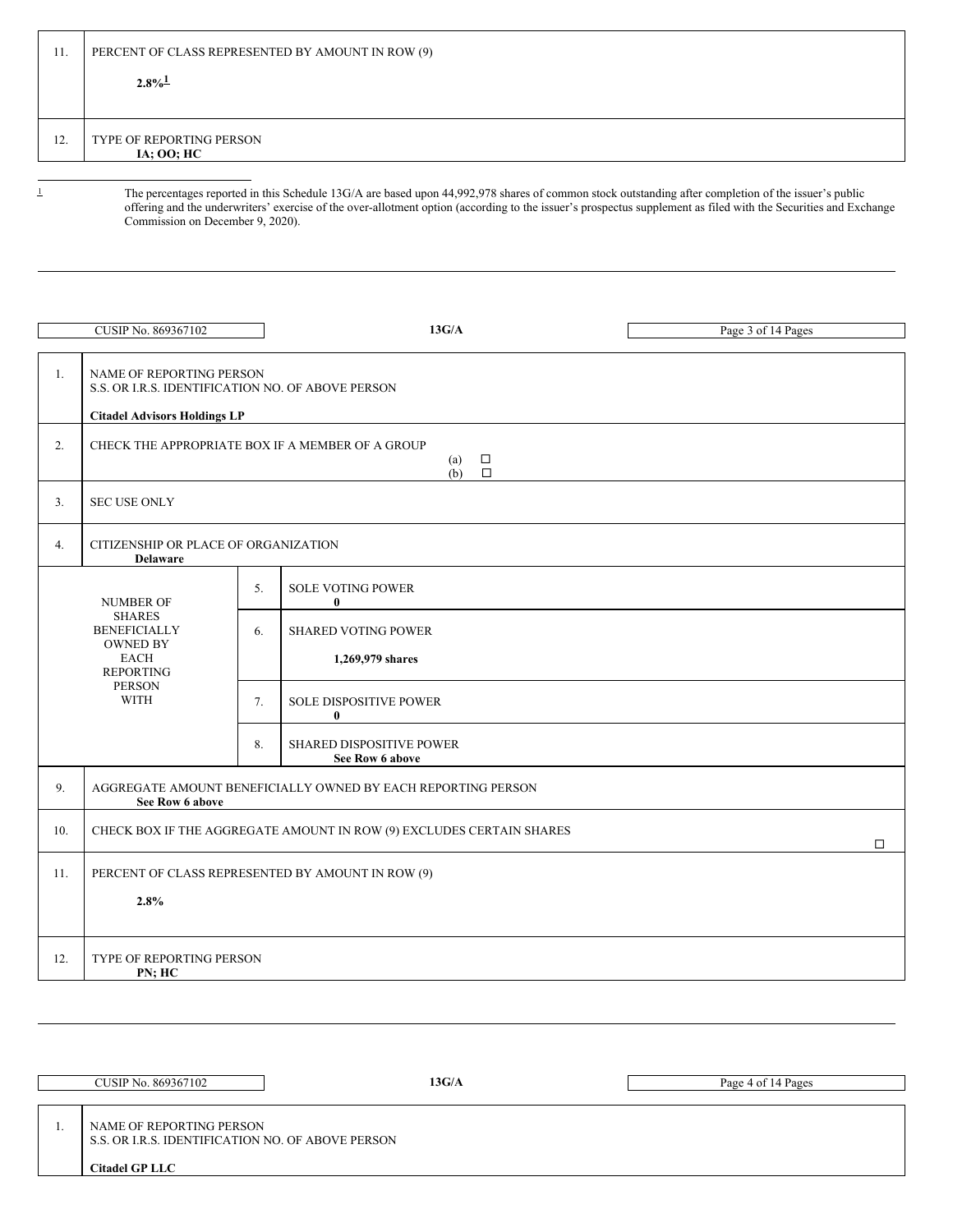| 11. | PERCENT OF CLASS REPRESENTED BY AMOUNT IN ROW (9) |  |  |  |  |  |
|-----|---------------------------------------------------|--|--|--|--|--|
|     | $2.8\%$ <sup>1</sup>                              |  |  |  |  |  |
|     |                                                   |  |  |  |  |  |
| 12. | TYPE OF REPORTING PERSON<br><b>IA; OO; HC</b>     |  |  |  |  |  |

 $\perp$  The percentages reported in this Schedule 13G/A are based upon 44,992,978 shares of common stock outstanding after completion of the issuer's public offering and the underwriters' exercise of the over-allotment option (according to the issuer's prospectus supplement as filed with the Securities and Exchange Commission on December 9, 2020).

|                              | CUSIP No. 869367102                                                                                                  |    | 13G/A                                                        | Page 3 of 14 Pages |  |
|------------------------------|----------------------------------------------------------------------------------------------------------------------|----|--------------------------------------------------------------|--------------------|--|
| 1.                           | NAME OF REPORTING PERSON<br>S.S. OR I.R.S. IDENTIFICATION NO. OF ABOVE PERSON<br><b>Citadel Advisors Holdings LP</b> |    |                                                              |                    |  |
| 2.                           | CHECK THE APPROPRIATE BOX IF A MEMBER OF A GROUP<br>$\Box$<br>(a)<br>$\Box$<br>(b)                                   |    |                                                              |                    |  |
| 3.                           | <b>SEC USE ONLY</b>                                                                                                  |    |                                                              |                    |  |
| 4.                           | CITIZENSHIP OR PLACE OF ORGANIZATION<br><b>Delaware</b>                                                              |    |                                                              |                    |  |
|                              | <b>NUMBER OF</b>                                                                                                     | 5. | <b>SOLE VOTING POWER</b><br>$\bf{0}$                         |                    |  |
|                              | <b>SHARES</b><br><b>BENEFICIALLY</b><br><b>OWNED BY</b><br><b>EACH</b><br><b>REPORTING</b>                           | 6. | <b>SHARED VOTING POWER</b><br>1,269,979 shares               |                    |  |
| <b>PERSON</b><br><b>WITH</b> |                                                                                                                      | 7. | <b>SOLE DISPOSITIVE POWER</b><br>$\bf{0}$                    |                    |  |
|                              |                                                                                                                      | 8. | <b>SHARED DISPOSITIVE POWER</b><br>See Row 6 above           |                    |  |
| 9.                           | See Row 6 above                                                                                                      |    | AGGREGATE AMOUNT BENEFICIALLY OWNED BY EACH REPORTING PERSON |                    |  |
| 10.                          | CHECK BOX IF THE AGGREGATE AMOUNT IN ROW (9) EXCLUDES CERTAIN SHARES<br>$\Box$                                       |    |                                                              |                    |  |
| 11.                          | PERCENT OF CLASS REPRESENTED BY AMOUNT IN ROW (9)                                                                    |    |                                                              |                    |  |
|                              | 2.8%                                                                                                                 |    |                                                              |                    |  |
| 12.                          | TYPE OF REPORTING PERSON<br>PN; HC                                                                                   |    |                                                              |                    |  |

| CUSIP No. 869367102                                                                                    | 13G/A | Page 4 of 14 Pages |
|--------------------------------------------------------------------------------------------------------|-------|--------------------|
| NAME OF REPORTING PERSON<br>S.S. OR I.R.S. IDENTIFICATION NO. OF ABOVE PERSON<br><b>Citadel GP LLC</b> |       |                    |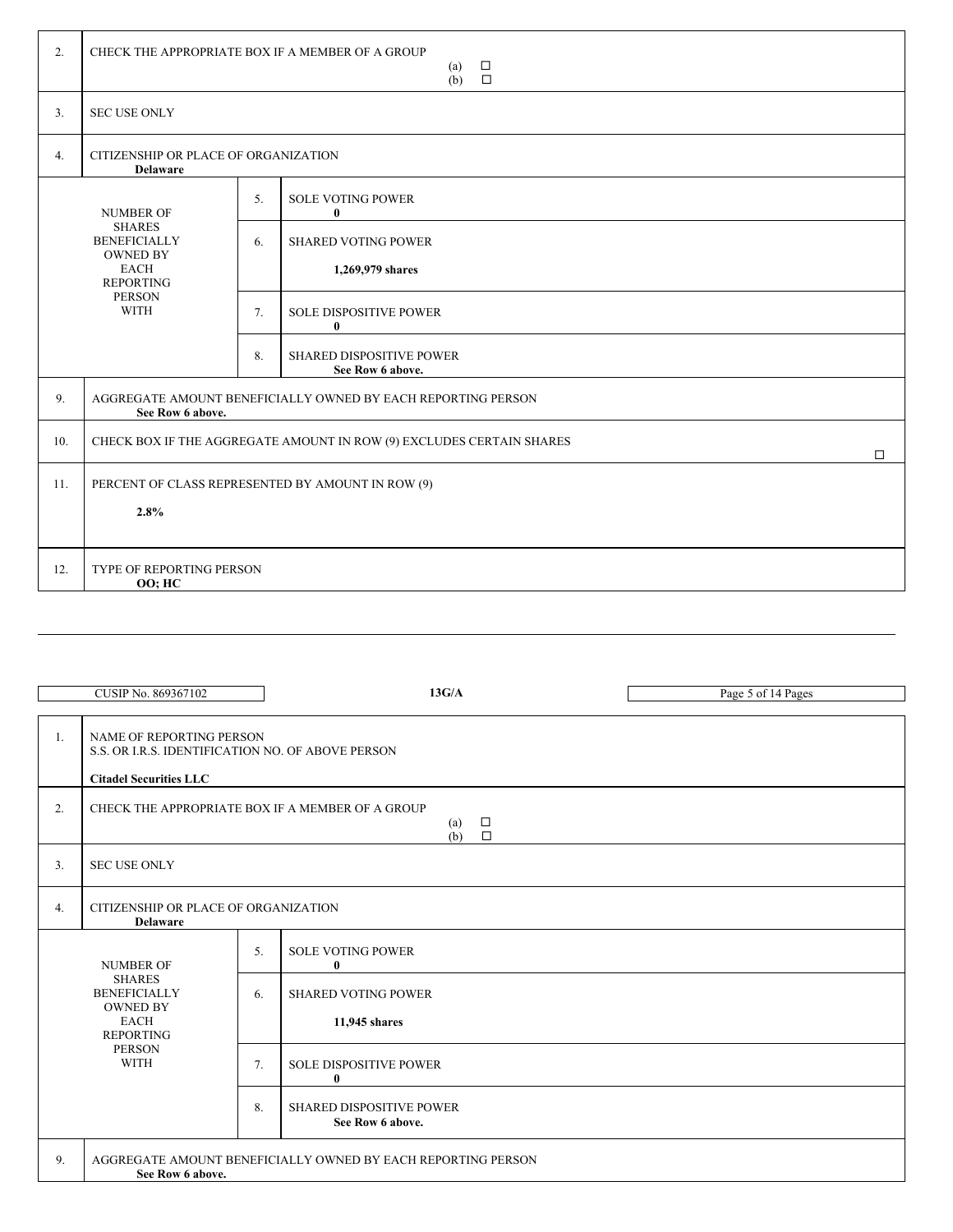| 2.  | CHECK THE APPROPRIATE BOX IF A MEMBER OF A GROUP<br>$\Box$<br>(a)<br>$\Box$<br>(b)                                         |    |                                                                                |  |
|-----|----------------------------------------------------------------------------------------------------------------------------|----|--------------------------------------------------------------------------------|--|
| 3.  | <b>SEC USE ONLY</b>                                                                                                        |    |                                                                                |  |
| 4.  | CITIZENSHIP OR PLACE OF ORGANIZATION<br><b>Delaware</b>                                                                    |    |                                                                                |  |
|     | <b>NUMBER OF</b>                                                                                                           | 5. | <b>SOLE VOTING POWER</b><br>$\bf{0}$                                           |  |
|     | <b>SHARES</b><br><b>BENEFICIALLY</b><br><b>OWNED BY</b><br><b>EACH</b><br><b>REPORTING</b><br><b>PERSON</b><br><b>WITH</b> | 6. | <b>SHARED VOTING POWER</b><br>1,269,979 shares                                 |  |
|     |                                                                                                                            | 7. | <b>SOLE DISPOSITIVE POWER</b><br>$\mathbf{0}$                                  |  |
|     |                                                                                                                            | 8. | <b>SHARED DISPOSITIVE POWER</b><br>See Row 6 above.                            |  |
| 9.  | AGGREGATE AMOUNT BENEFICIALLY OWNED BY EACH REPORTING PERSON<br>See Row 6 above.                                           |    |                                                                                |  |
| 10. |                                                                                                                            |    | CHECK BOX IF THE AGGREGATE AMOUNT IN ROW (9) EXCLUDES CERTAIN SHARES<br>$\Box$ |  |
| 11. | PERCENT OF CLASS REPRESENTED BY AMOUNT IN ROW (9)                                                                          |    |                                                                                |  |
|     | 2.8%                                                                                                                       |    |                                                                                |  |
| 12. | TYPE OF REPORTING PERSON<br><b>OO; HC</b>                                                                                  |    |                                                                                |  |

|    | CUSIP No. 869367102                                                                                                                            |    | 13G/A                                               | Page 5 of 14 Pages |  |
|----|------------------------------------------------------------------------------------------------------------------------------------------------|----|-----------------------------------------------------|--------------------|--|
| 1. | <b>NAME OF REPORTING PERSON</b><br>S.S. OR I.R.S. IDENTIFICATION NO. OF ABOVE PERSON<br><b>Citadel Securities LLC</b>                          |    |                                                     |                    |  |
| 2. | CHECK THE APPROPRIATE BOX IF A MEMBER OF A GROUP<br>(a)<br>$\Box$<br>(b)<br>$\Box$                                                             |    |                                                     |                    |  |
| 3. | <b>SEC USE ONLY</b>                                                                                                                            |    |                                                     |                    |  |
| 4. | CITIZENSHIP OR PLACE OF ORGANIZATION<br><b>Delaware</b>                                                                                        |    |                                                     |                    |  |
|    | <b>NUMBER OF</b><br><b>SHARES</b><br><b>BENEFICIALLY</b><br><b>OWNED BY</b><br><b>EACH</b><br><b>REPORTING</b><br><b>PERSON</b><br><b>WITH</b> | 5. | <b>SOLE VOTING POWER</b><br>$\bf{0}$                |                    |  |
|    |                                                                                                                                                | 6. | <b>SHARED VOTING POWER</b><br>11,945 shares         |                    |  |
|    |                                                                                                                                                | 7. | <b>SOLE DISPOSITIVE POWER</b><br>$\bf{0}$           |                    |  |
|    |                                                                                                                                                | 8. | <b>SHARED DISPOSITIVE POWER</b><br>See Row 6 above. |                    |  |
| 9. | AGGREGATE AMOUNT BENEFICIALLY OWNED BY EACH REPORTING PERSON<br>See Row 6 above.                                                               |    |                                                     |                    |  |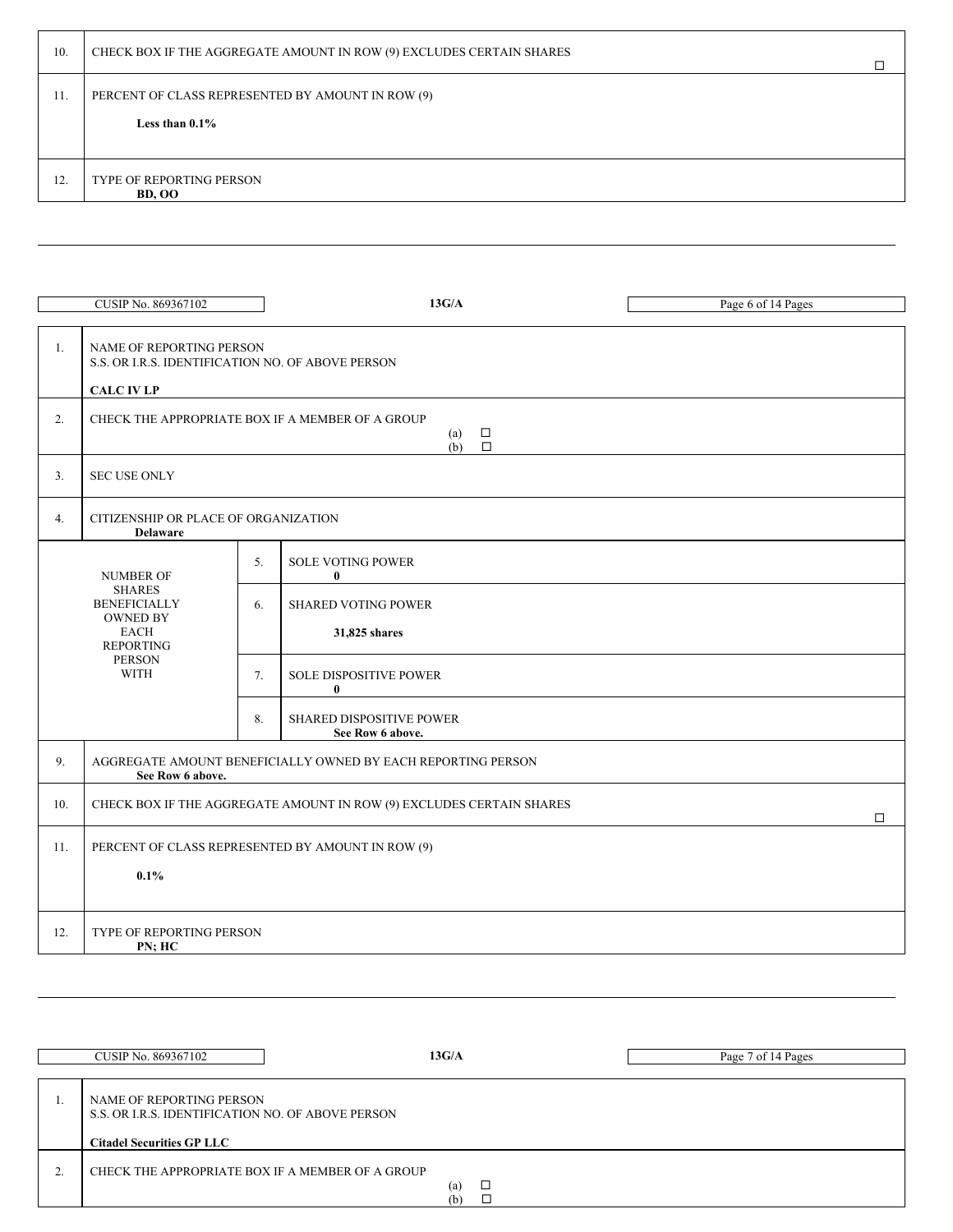| 10. | CHECK BOX IF THE AGGREGATE AMOUNT IN ROW (9) EXCLUDES CERTAIN SHARES   |  |
|-----|------------------------------------------------------------------------|--|
| 11. | PERCENT OF CLASS REPRESENTED BY AMOUNT IN ROW (9)<br>Less than $0.1\%$ |  |
| 12. | <b>TYPE OF REPORTING PERSON</b><br><b>BD, OO</b>                       |  |

|                                                                                     | CUSIP No. 869367102                                                                                |    | 13G/A                                                        | Page 6 of 14 Pages |  |  |
|-------------------------------------------------------------------------------------|----------------------------------------------------------------------------------------------------|----|--------------------------------------------------------------|--------------------|--|--|
| 1.                                                                                  | NAME OF REPORTING PERSON<br>S.S. OR I.R.S. IDENTIFICATION NO. OF ABOVE PERSON<br><b>CALC IV LP</b> |    |                                                              |                    |  |  |
| 2.                                                                                  | CHECK THE APPROPRIATE BOX IF A MEMBER OF A GROUP<br>$\Box$<br>(a)<br>$\Box$<br>(b)                 |    |                                                              |                    |  |  |
| 3.                                                                                  | <b>SEC USE ONLY</b>                                                                                |    |                                                              |                    |  |  |
| 4.                                                                                  | CITIZENSHIP OR PLACE OF ORGANIZATION<br><b>Delaware</b>                                            |    |                                                              |                    |  |  |
|                                                                                     | 5.<br><b>NUMBER OF</b>                                                                             |    | <b>SOLE VOTING POWER</b><br>$\bf{0}$                         |                    |  |  |
| <b>SHARES</b><br><b>BENEFICIALLY</b><br><b>OWNED BY</b><br>EACH<br><b>REPORTING</b> |                                                                                                    | 6. | <b>SHARED VOTING POWER</b><br>31,825 shares                  |                    |  |  |
|                                                                                     | <b>PERSON</b><br><b>WITH</b>                                                                       | 7. | <b>SOLE DISPOSITIVE POWER</b><br>$\bf{0}$                    |                    |  |  |
|                                                                                     |                                                                                                    | 8. | SHARED DISPOSITIVE POWER<br>See Row 6 above.                 |                    |  |  |
| 9.                                                                                  | See Row 6 above.                                                                                   |    | AGGREGATE AMOUNT BENEFICIALLY OWNED BY EACH REPORTING PERSON |                    |  |  |
| 10.                                                                                 | CHECK BOX IF THE AGGREGATE AMOUNT IN ROW (9) EXCLUDES CERTAIN SHARES                               |    |                                                              | $\Box$             |  |  |
| 11.                                                                                 | PERCENT OF CLASS REPRESENTED BY AMOUNT IN ROW (9)                                                  |    |                                                              |                    |  |  |
|                                                                                     | $0.1\%$                                                                                            |    |                                                              |                    |  |  |
| 12.                                                                                 | TYPE OF REPORTING PERSON<br>PN; HC                                                                 |    |                                                              |                    |  |  |

|    | CUSIP No. 869367102                                                                                               | 13G/A      | Page 7 of 14 Pages |
|----|-------------------------------------------------------------------------------------------------------------------|------------|--------------------|
|    |                                                                                                                   |            |                    |
|    | NAME OF REPORTING PERSON<br>S.S. OR I.R.S. IDENTIFICATION NO. OF ABOVE PERSON<br><b>Citadel Securities GP LLC</b> |            |                    |
| z. | CHECK THE APPROPRIATE BOX IF A MEMBER OF A GROUP                                                                  | (a)<br>(b) |                    |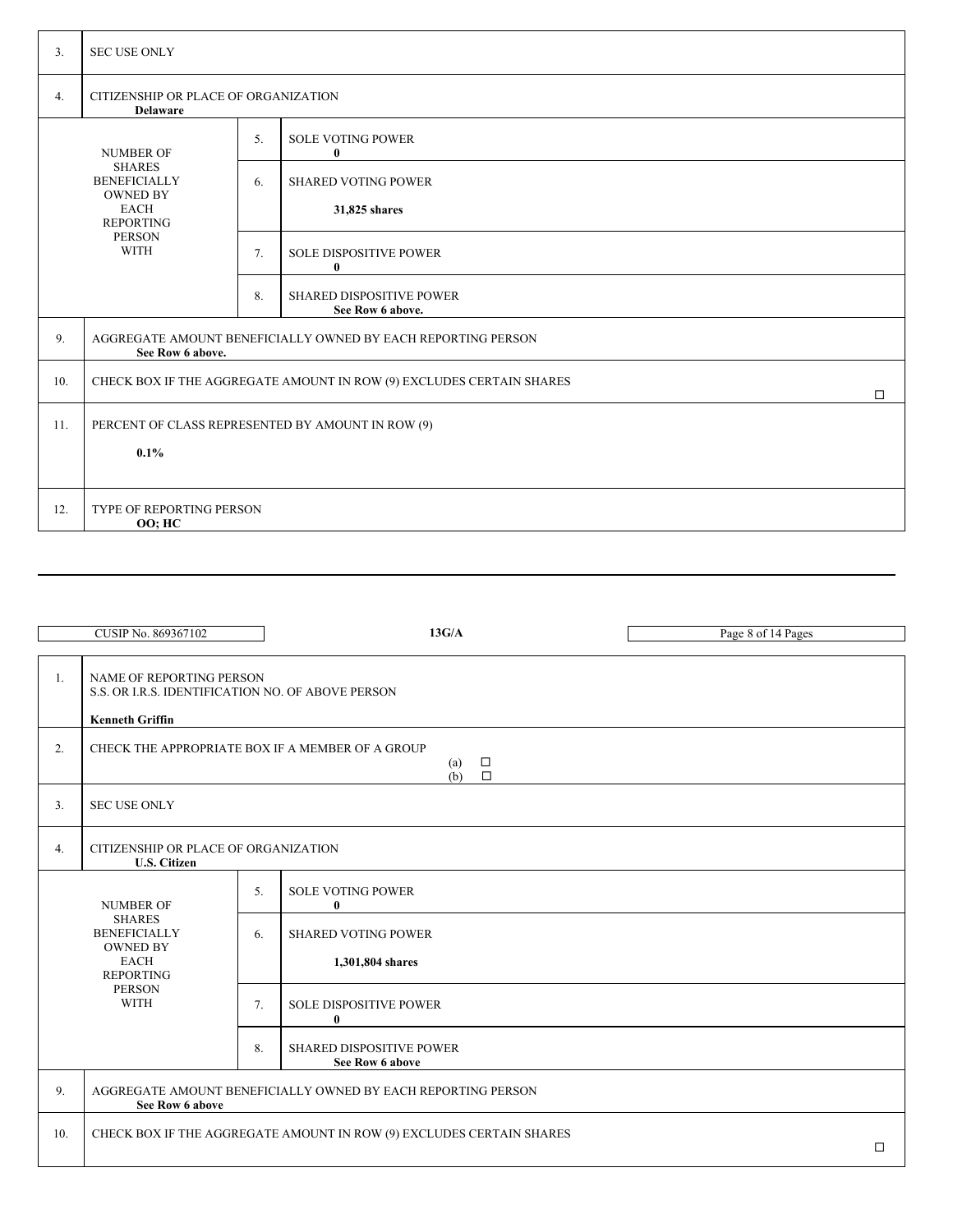| 3.  | <b>SEC USE ONLY</b>                                                                                                                            |    |                                              |        |  |  |
|-----|------------------------------------------------------------------------------------------------------------------------------------------------|----|----------------------------------------------|--------|--|--|
| 4.  | CITIZENSHIP OR PLACE OF ORGANIZATION<br><b>Delaware</b>                                                                                        |    |                                              |        |  |  |
|     | <b>NUMBER OF</b><br><b>SHARES</b><br><b>BENEFICIALLY</b><br><b>OWNED BY</b><br><b>EACH</b><br><b>REPORTING</b><br><b>PERSON</b><br><b>WITH</b> | 5. | <b>SOLE VOTING POWER</b><br>$\bf{0}$         |        |  |  |
|     |                                                                                                                                                | 6. | <b>SHARED VOTING POWER</b><br>31,825 shares  |        |  |  |
|     |                                                                                                                                                | 7. | <b>SOLE DISPOSITIVE POWER</b><br>$\bf{0}$    |        |  |  |
|     |                                                                                                                                                | 8. | SHARED DISPOSITIVE POWER<br>See Row 6 above. |        |  |  |
| 9.  | AGGREGATE AMOUNT BENEFICIALLY OWNED BY EACH REPORTING PERSON<br>See Row 6 above.                                                               |    |                                              |        |  |  |
| 10. | CHECK BOX IF THE AGGREGATE AMOUNT IN ROW (9) EXCLUDES CERTAIN SHARES                                                                           |    |                                              | $\Box$ |  |  |
| 11. | PERCENT OF CLASS REPRESENTED BY AMOUNT IN ROW (9)<br>0.1%                                                                                      |    |                                              |        |  |  |
| 12. | <b>TYPE OF REPORTING PERSON</b><br><b>OO; HC</b>                                                                                               |    |                                              |        |  |  |

|     | CUSIP No. 869367102                                                                                            |          | 13G/A                                                                  | Page 8 of 14 Pages |  |
|-----|----------------------------------------------------------------------------------------------------------------|----------|------------------------------------------------------------------------|--------------------|--|
| 1.  | <b>NAME OF REPORTING PERSON</b><br>S.S. OR I.R.S. IDENTIFICATION NO. OF ABOVE PERSON<br><b>Kenneth Griffin</b> |          |                                                                        |                    |  |
| 2.  | CHECK THE APPROPRIATE BOX IF A MEMBER OF A GROUP<br>$\Box$<br>(a)<br>$\Box$<br>(b)                             |          |                                                                        |                    |  |
| 3.  | <b>SEC USE ONLY</b>                                                                                            |          |                                                                        |                    |  |
| 4.  | CITIZENSHIP OR PLACE OF ORGANIZATION<br><b>U.S. Citizen</b>                                                    |          |                                                                        |                    |  |
|     | <b>NUMBER OF</b><br><b>SHARES</b><br><b>BENEFICIALLY</b><br><b>OWNED BY</b>                                    | 5.<br>6. | <b>SOLE VOTING POWER</b><br>$\mathbf{0}$<br><b>SHARED VOTING POWER</b> |                    |  |
|     | <b>EACH</b><br><b>REPORTING</b><br><b>PERSON</b>                                                               |          | 1,301,804 shares                                                       |                    |  |
|     | <b>WITH</b>                                                                                                    | 7.       | <b>SOLE DISPOSITIVE POWER</b><br>$\bf{0}$                              |                    |  |
|     |                                                                                                                | 8.       | <b>SHARED DISPOSITIVE POWER</b><br>See Row 6 above                     |                    |  |
| 9.  | AGGREGATE AMOUNT BENEFICIALLY OWNED BY EACH REPORTING PERSON<br>See Row 6 above                                |          |                                                                        |                    |  |
| 10. | CHECK BOX IF THE AGGREGATE AMOUNT IN ROW (9) EXCLUDES CERTAIN SHARES<br>$\Box$                                 |          |                                                                        |                    |  |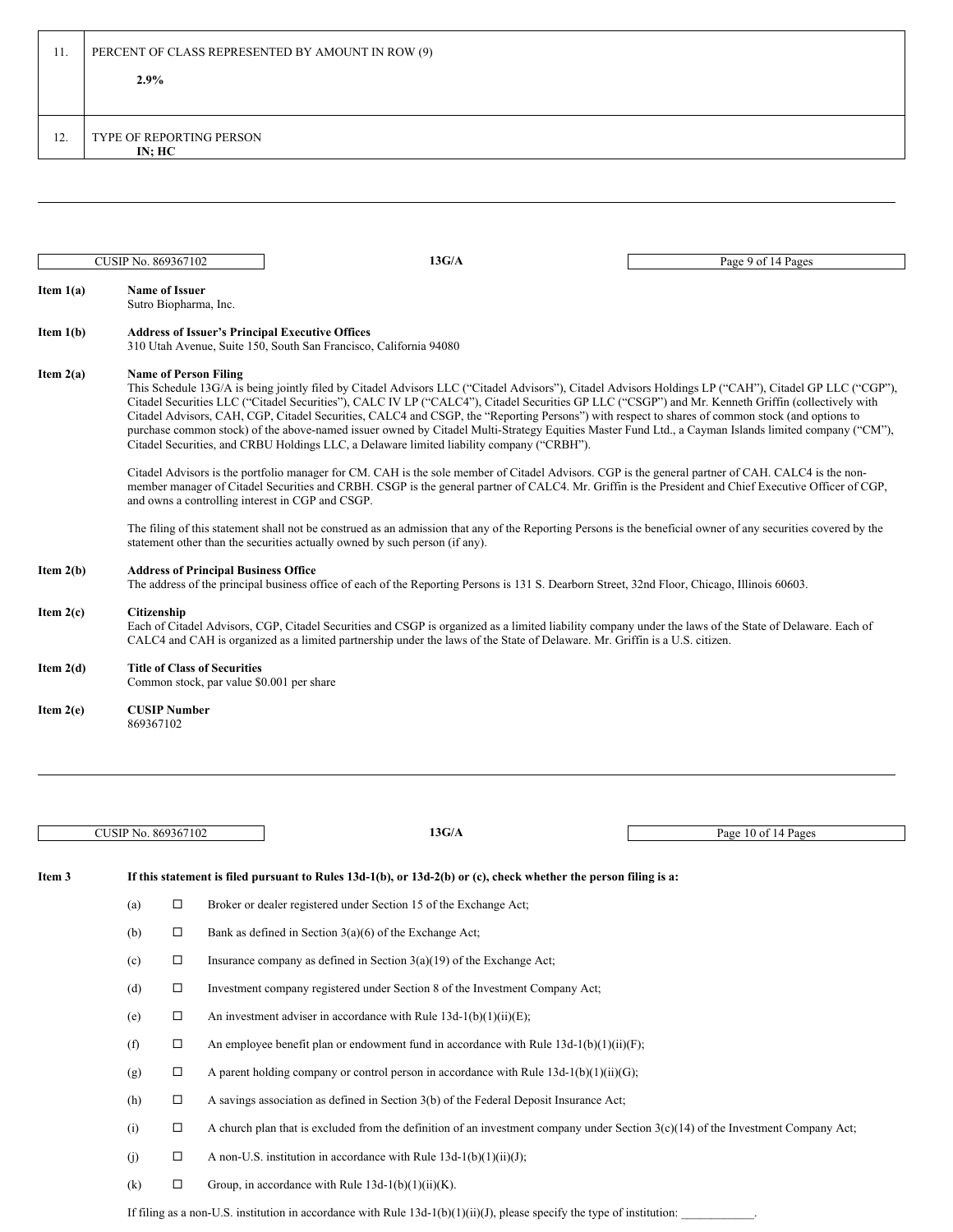| 11. | PERCENT OF CLASS REPRESENTED BY AMOUNT IN ROW (9) |  |  |  |  |  |  |
|-----|---------------------------------------------------|--|--|--|--|--|--|
|     | $2.9\%$                                           |  |  |  |  |  |  |
|     |                                                   |  |  |  |  |  |  |
| 12. | TYPE OF REPORTING PERSON<br>IN; HC                |  |  |  |  |  |  |

| CUSIP No. 869367102 |                                                                                                                                                                                                                                                                                                                                                                                                                                                                                                                                                                                                                                                                                                                                                      | 13G/A                                                                                                                                                                                                                                                                                  | Page 9 of 14 Pages |  |  |  |
|---------------------|------------------------------------------------------------------------------------------------------------------------------------------------------------------------------------------------------------------------------------------------------------------------------------------------------------------------------------------------------------------------------------------------------------------------------------------------------------------------------------------------------------------------------------------------------------------------------------------------------------------------------------------------------------------------------------------------------------------------------------------------------|----------------------------------------------------------------------------------------------------------------------------------------------------------------------------------------------------------------------------------------------------------------------------------------|--------------------|--|--|--|
| Item $1(a)$         | <b>Name of Issuer</b><br>Sutro Biopharma, Inc.                                                                                                                                                                                                                                                                                                                                                                                                                                                                                                                                                                                                                                                                                                       |                                                                                                                                                                                                                                                                                        |                    |  |  |  |
| Item $1(b)$         |                                                                                                                                                                                                                                                                                                                                                                                                                                                                                                                                                                                                                                                                                                                                                      | <b>Address of Issuer's Principal Executive Offices</b><br>310 Utah Avenue, Suite 150, South San Francisco, California 94080                                                                                                                                                            |                    |  |  |  |
| Item $2(a)$         | <b>Name of Person Filing</b><br>This Schedule 13G/A is being jointly filed by Citadel Advisors LLC ("Citadel Advisors"), Citadel Advisors Holdings LP ("CAH"), Citadel GP LLC ("CGP"),<br>Citadel Securities LLC ("Citadel Securities"), CALC IV LP ("CALC4"), Citadel Securities GP LLC ("CSGP") and Mr. Kenneth Griffin (collectively with<br>Citadel Advisors, CAH, CGP, Citadel Securities, CALC4 and CSGP, the "Reporting Persons") with respect to shares of common stock (and options to<br>purchase common stock) of the above-named issuer owned by Citadel Multi-Strategy Equities Master Fund Ltd., a Cayman Islands limited company ("CM"),<br>Citadel Securities, and CRBU Holdings LLC, a Delaware limited liability company ("CRBH"). |                                                                                                                                                                                                                                                                                        |                    |  |  |  |
|                     | Citadel Advisors is the portfolio manager for CM. CAH is the sole member of Citadel Advisors. CGP is the general partner of CAH. CALC4 is the non-<br>member manager of Citadel Securities and CRBH. CSGP is the general partner of CALC4. Mr. Griffin is the President and Chief Executive Officer of CGP,<br>and owns a controlling interest in CGP and CSGP.                                                                                                                                                                                                                                                                                                                                                                                      |                                                                                                                                                                                                                                                                                        |                    |  |  |  |
|                     |                                                                                                                                                                                                                                                                                                                                                                                                                                                                                                                                                                                                                                                                                                                                                      | The filing of this statement shall not be construed as an admission that any of the Reporting Persons is the beneficial owner of any securities covered by the<br>statement other than the securities actually owned by such person (if any).                                          |                    |  |  |  |
| Item $2(b)$         | <b>Address of Principal Business Office</b>                                                                                                                                                                                                                                                                                                                                                                                                                                                                                                                                                                                                                                                                                                          | The address of the principal business office of each of the Reporting Persons is 131 S. Dearborn Street, 32nd Floor, Chicago, Illinois 60603.                                                                                                                                          |                    |  |  |  |
| Item $2(c)$         | Citizenship                                                                                                                                                                                                                                                                                                                                                                                                                                                                                                                                                                                                                                                                                                                                          | Each of Citadel Advisors, CGP, Citadel Securities and CSGP is organized as a limited liability company under the laws of the State of Delaware. Each of<br>CALC4 and CAH is organized as a limited partnership under the laws of the State of Delaware. Mr. Griffin is a U.S. citizen. |                    |  |  |  |
| Item $2(d)$         | <b>Title of Class of Securities</b><br>Common stock, par value \$0.001 per share                                                                                                                                                                                                                                                                                                                                                                                                                                                                                                                                                                                                                                                                     |                                                                                                                                                                                                                                                                                        |                    |  |  |  |
| Item $2(e)$         | <b>CUSIP Number</b><br>869367102                                                                                                                                                                                                                                                                                                                                                                                                                                                                                                                                                                                                                                                                                                                     |                                                                                                                                                                                                                                                                                        |                    |  |  |  |

|        | CUSIP No. 869367102 |        | 13G/A<br>Page 10 of 14 Pages                                                                                                        |
|--------|---------------------|--------|-------------------------------------------------------------------------------------------------------------------------------------|
| Item 3 |                     |        | If this statement is filed pursuant to Rules $13d-1(b)$ , or $13d-2(b)$ or (c), check whether the person filing is a:               |
|        | (a)                 | $\Box$ | Broker or dealer registered under Section 15 of the Exchange Act;                                                                   |
|        | (b)                 | $\Box$ | Bank as defined in Section $3(a)(6)$ of the Exchange Act;                                                                           |
|        | (c)                 | $\Box$ | Insurance company as defined in Section $3(a)(19)$ of the Exchange Act;                                                             |
|        | (d)                 | $\Box$ | Investment company registered under Section 8 of the Investment Company Act;                                                        |
|        | (e)                 | $\Box$ | An investment adviser in accordance with Rule $13d-1(b)(1)(ii)(E)$ ;                                                                |
|        | (f)                 | $\Box$ | An employee benefit plan or endowment fund in accordance with Rule $13d-1(b)(1)(ii)(F)$ ;                                           |
|        | (g)                 | $\Box$ | A parent holding company or control person in accordance with Rule $13d-1(b)(1)(ii)(G)$ ;                                           |
|        | (h)                 | $\Box$ | A savings association as defined in Section 3(b) of the Federal Deposit Insurance Act;                                              |
|        | (i)                 | $\Box$ | A church plan that is excluded from the definition of an investment company under Section $3(c)(14)$ of the Investment Company Act; |
|        | (j)                 | $\Box$ | A non-U.S. institution in accordance with Rule $13d-1(b)(1)(ii)(J)$ ;                                                               |
|        | (k)                 | $\Box$ | Group, in accordance with Rule $13d-1(b)(1)(ii)(K)$ .                                                                               |
|        |                     |        | If filing as a non-U.S. institution in accordance with Rule $13d-1(b)(1)(ii)(J)$ , please specify the type of institution:          |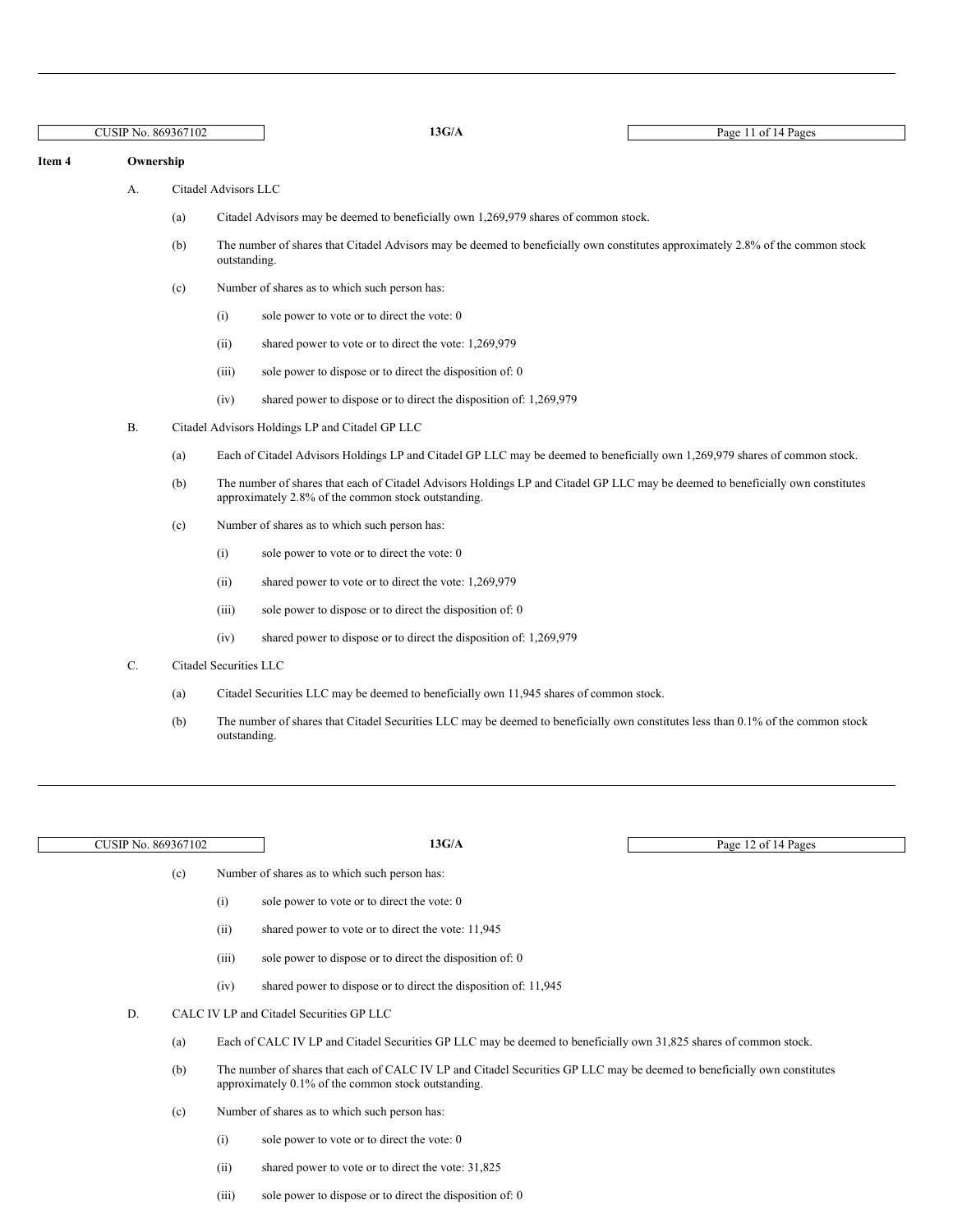### **Item 4 Ownership**

- A. Citadel Advisors LLC
	- (a) Citadel Advisors may be deemed to beneficially own 1,269,979 shares of common stock.
	- (b) The number of shares that Citadel Advisors may be deemed to beneficially own constitutes approximately 2.8% of the common stock outstanding.
	- (c) Number of shares as to which such person has:
		- (i) sole power to vote or to direct the vote: 0
		- (ii) shared power to vote or to direct the vote: 1,269,979
		- (iii) sole power to dispose or to direct the disposition of: 0
		- (iv) shared power to dispose or to direct the disposition of: 1,269,979
- B. Citadel Advisors Holdings LP and Citadel GP LLC
	- (a) Each of Citadel Advisors Holdings LP and Citadel GP LLC may be deemed to beneficially own 1,269,979 shares of common stock.
	- (b) The number of shares that each of Citadel Advisors Holdings LP and Citadel GP LLC may be deemed to beneficially own constitutes approximately 2.8% of the common stock outstanding.
	- (c) Number of shares as to which such person has:
		- (i) sole power to vote or to direct the vote: 0
		- (ii) shared power to vote or to direct the vote: 1,269,979
		- (iii) sole power to dispose or to direct the disposition of: 0
		- (iv) shared power to dispose or to direct the disposition of: 1,269,979
- C. Citadel Securities LLC
	- (a) Citadel Securities LLC may be deemed to beneficially own 11,945 shares of common stock.
	- (b) The number of shares that Citadel Securities LLC may be deemed to beneficially own constitutes less than 0.1% of the common stock outstanding.

| <b>CUSIP No. 869367102</b> |       | 13G/A                                                                                                                                                                           | Page 12 of 14 Pages |
|----------------------------|-------|---------------------------------------------------------------------------------------------------------------------------------------------------------------------------------|---------------------|
| (c)                        |       | Number of shares as to which such person has:                                                                                                                                   |                     |
|                            | (i)   | sole power to vote or to direct the vote: 0                                                                                                                                     |                     |
|                            | (ii)  | shared power to vote or to direct the vote: 11,945                                                                                                                              |                     |
|                            | (iii) | sole power to dispose or to direct the disposition of: 0                                                                                                                        |                     |
|                            | (iv)  | shared power to dispose or to direct the disposition of: 11,945                                                                                                                 |                     |
| D.                         |       | CALC IV LP and Citadel Securities GP LLC                                                                                                                                        |                     |
| (a)                        |       | Each of CALC IV LP and Citadel Securities GP LLC may be deemed to beneficially own 31,825 shares of common stock.                                                               |                     |
| (b)                        |       | The number of shares that each of CALC IV LP and Citadel Securities GP LLC may be deemed to beneficially own constitutes<br>approximately 0.1% of the common stock outstanding. |                     |
| (c)                        |       | Number of shares as to which such person has:                                                                                                                                   |                     |
|                            | (i)   | sole power to vote or to direct the vote: 0                                                                                                                                     |                     |

- (ii) shared power to vote or to direct the vote: 31,825
- (iii) sole power to dispose or to direct the disposition of: 0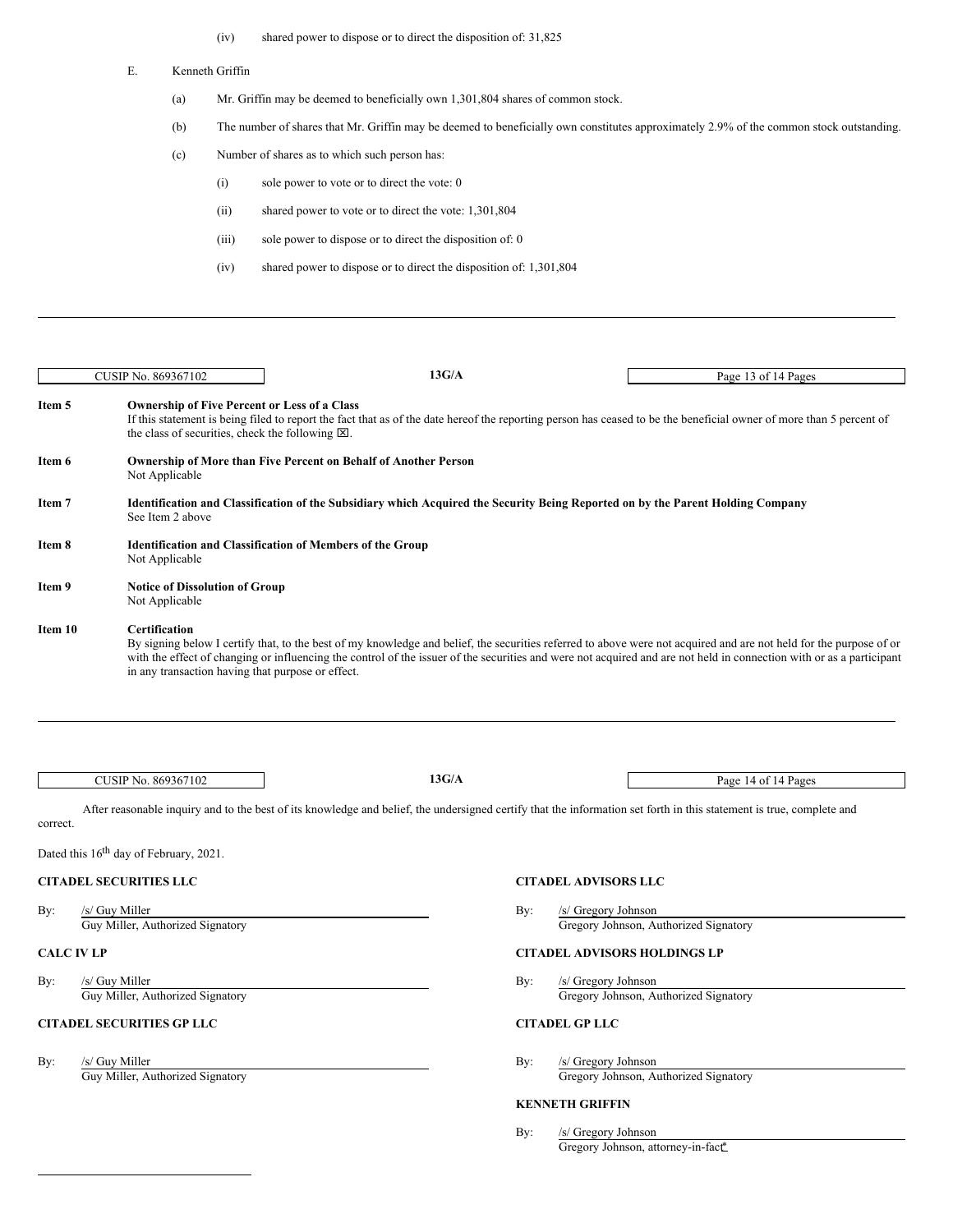- (iv) shared power to dispose or to direct the disposition of: 31,825
- E. Kenneth Griffin
	- (a) Mr. Griffin may be deemed to beneficially own 1,301,804 shares of common stock.
	- (b) The number of shares that Mr. Griffin may be deemed to beneficially own constitutes approximately 2.9% of the common stock outstanding.
	- (c) Number of shares as to which such person has:
		- (i) sole power to vote or to direct the vote: 0
		- (ii) shared power to vote or to direct the vote: 1,301,804
		- (iii) sole power to dispose or to direct the disposition of: 0
		- (iv) shared power to dispose or to direct the disposition of: 1,301,804

|                               | CUSIP No. 869367102                                                                                                                                                                                                                                                                                                                                                                                              | 13G/A                                                                                                                                                                                                                                                                                    |                             | Page 13 of 14 Pages                   |  |  |  |  |  |
|-------------------------------|------------------------------------------------------------------------------------------------------------------------------------------------------------------------------------------------------------------------------------------------------------------------------------------------------------------------------------------------------------------------------------------------------------------|------------------------------------------------------------------------------------------------------------------------------------------------------------------------------------------------------------------------------------------------------------------------------------------|-----------------------------|---------------------------------------|--|--|--|--|--|
| Item 5                        |                                                                                                                                                                                                                                                                                                                                                                                                                  | <b>Ownership of Five Percent or Less of a Class</b><br>If this statement is being filed to report the fact that as of the date hereof the reporting person has ceased to be the beneficial owner of more than 5 percent of<br>the class of securities, check the following $\boxtimes$ . |                             |                                       |  |  |  |  |  |
| Item 6                        | Not Applicable                                                                                                                                                                                                                                                                                                                                                                                                   | Ownership of More than Five Percent on Behalf of Another Person                                                                                                                                                                                                                          |                             |                                       |  |  |  |  |  |
| Item 7                        | See Item 2 above                                                                                                                                                                                                                                                                                                                                                                                                 | Identification and Classification of the Subsidiary which Acquired the Security Being Reported on by the Parent Holding Company                                                                                                                                                          |                             |                                       |  |  |  |  |  |
| Item 8                        | Not Applicable                                                                                                                                                                                                                                                                                                                                                                                                   | <b>Identification and Classification of Members of the Group</b>                                                                                                                                                                                                                         |                             |                                       |  |  |  |  |  |
| Item 9                        | <b>Notice of Dissolution of Group</b><br>Not Applicable                                                                                                                                                                                                                                                                                                                                                          |                                                                                                                                                                                                                                                                                          |                             |                                       |  |  |  |  |  |
| Item 10                       | Certification<br>By signing below I certify that, to the best of my knowledge and belief, the securities referred to above were not acquired and are not held for the purpose of or<br>with the effect of changing or influencing the control of the issuer of the securities and were not acquired and are not held in connection with or as a participant<br>in any transaction having that purpose or effect. |                                                                                                                                                                                                                                                                                          |                             |                                       |  |  |  |  |  |
|                               |                                                                                                                                                                                                                                                                                                                                                                                                                  |                                                                                                                                                                                                                                                                                          |                             |                                       |  |  |  |  |  |
|                               | CUSIP No. 869367102                                                                                                                                                                                                                                                                                                                                                                                              | 13G/A                                                                                                                                                                                                                                                                                    |                             | Page 14 of 14 Pages                   |  |  |  |  |  |
| correct.                      |                                                                                                                                                                                                                                                                                                                                                                                                                  | After reasonable inquiry and to the best of its knowledge and belief, the undersigned certify that the information set forth in this statement is true, complete and                                                                                                                     |                             |                                       |  |  |  |  |  |
|                               | Dated this 16 <sup>th</sup> day of February, 2021.                                                                                                                                                                                                                                                                                                                                                               |                                                                                                                                                                                                                                                                                          |                             |                                       |  |  |  |  |  |
| <b>CITADEL SECURITIES LLC</b> |                                                                                                                                                                                                                                                                                                                                                                                                                  |                                                                                                                                                                                                                                                                                          | <b>CITADEL ADVISORS LLC</b> |                                       |  |  |  |  |  |
| By:                           | /s/ Guy Miller                                                                                                                                                                                                                                                                                                                                                                                                   | By:                                                                                                                                                                                                                                                                                      | /s/ Gregory Johnson         |                                       |  |  |  |  |  |
|                               | Guy Miller, Authorized Signatory                                                                                                                                                                                                                                                                                                                                                                                 |                                                                                                                                                                                                                                                                                          |                             | Gregory Johnson, Authorized Signatory |  |  |  |  |  |
| <b>CALC IV LP</b>             |                                                                                                                                                                                                                                                                                                                                                                                                                  |                                                                                                                                                                                                                                                                                          |                             | <b>CITADEL ADVISORS HOLDINGS LP</b>   |  |  |  |  |  |
| By:                           | /s/ Guy Miller                                                                                                                                                                                                                                                                                                                                                                                                   | By:                                                                                                                                                                                                                                                                                      | /s/ Gregory Johnson         |                                       |  |  |  |  |  |
|                               | Guy Miller, Authorized Signatory                                                                                                                                                                                                                                                                                                                                                                                 |                                                                                                                                                                                                                                                                                          |                             | Gregory Johnson, Authorized Signatory |  |  |  |  |  |
|                               | <b>CITADEL SECURITIES GP LLC</b>                                                                                                                                                                                                                                                                                                                                                                                 |                                                                                                                                                                                                                                                                                          | <b>CITADEL GP LLC</b>       |                                       |  |  |  |  |  |
| By:                           | /s/ Guy Miller                                                                                                                                                                                                                                                                                                                                                                                                   | By:                                                                                                                                                                                                                                                                                      | /s/ Gregory Johnson         |                                       |  |  |  |  |  |
|                               | Guy Miller, Authorized Signatory                                                                                                                                                                                                                                                                                                                                                                                 |                                                                                                                                                                                                                                                                                          |                             | Gregory Johnson, Authorized Signatory |  |  |  |  |  |
|                               |                                                                                                                                                                                                                                                                                                                                                                                                                  |                                                                                                                                                                                                                                                                                          | <b>KENNETH GRIFFIN</b>      |                                       |  |  |  |  |  |
|                               |                                                                                                                                                                                                                                                                                                                                                                                                                  | By:                                                                                                                                                                                                                                                                                      | /s/ Gregory Johnson         |                                       |  |  |  |  |  |
|                               |                                                                                                                                                                                                                                                                                                                                                                                                                  |                                                                                                                                                                                                                                                                                          |                             | Gregory Johnson, attorney-in-fact*    |  |  |  |  |  |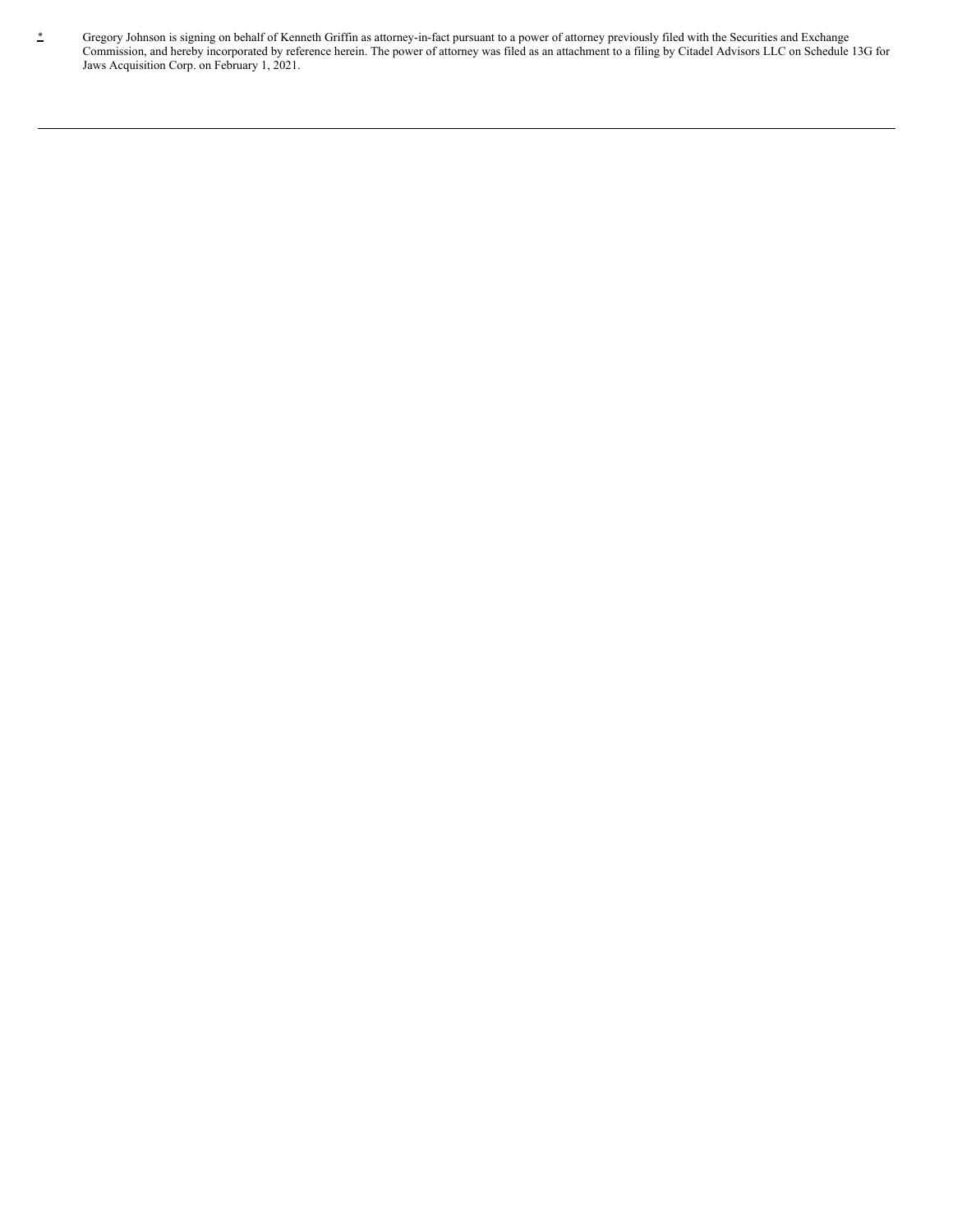\* Gregory Johnson is signing on behalf of Kenneth Griffin as attorney-in-fact pursuant to a power of attorney previously filed with the Securities and Exchange Commission, and hereby incorporated by reference herein. The power of attorney was filed as an attachment to a filing by Citadel Advisors LLC on Schedule 13G for Jaws Acquisition Corp. on February 1, 2021.